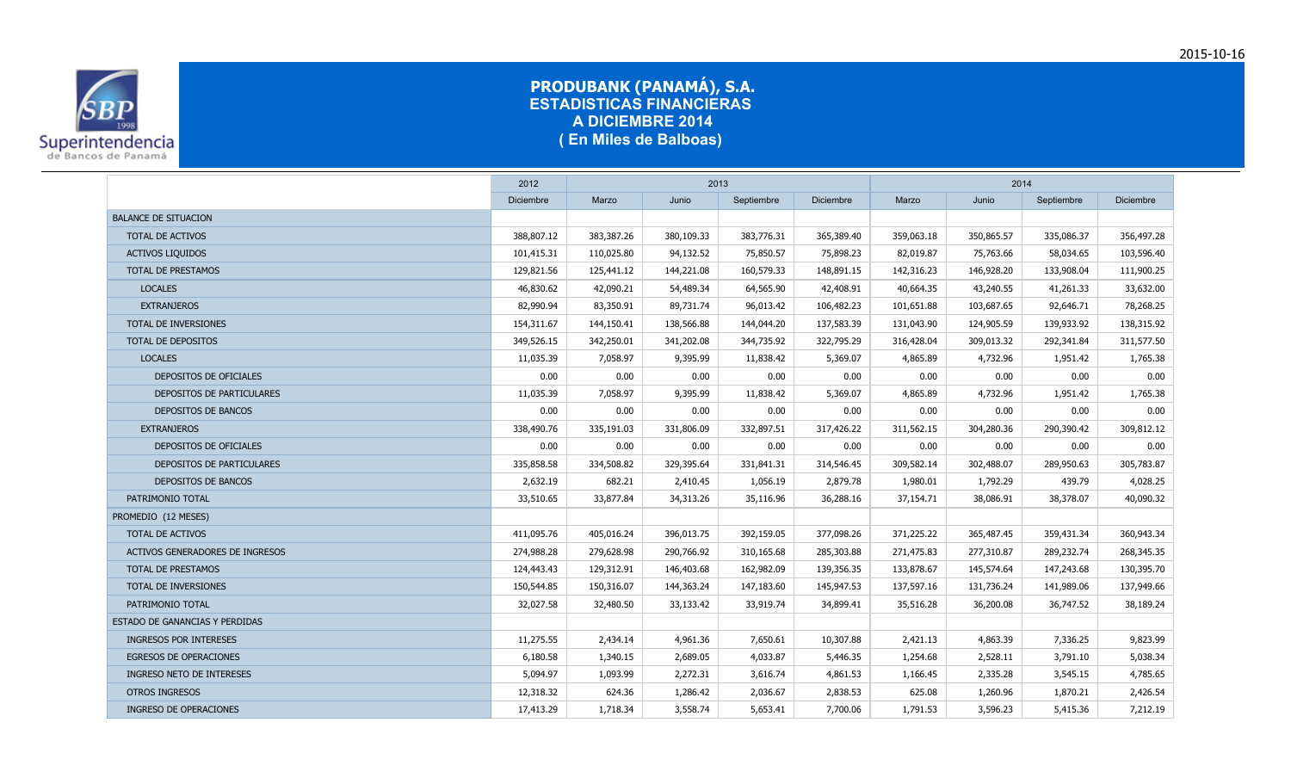

|                                  | 2012       | 2013       |            |            |            | 2014       |            |            |            |
|----------------------------------|------------|------------|------------|------------|------------|------------|------------|------------|------------|
|                                  | Diciembre  | Marzo      | Junio      | Septiembre | Diciembre  | Marzo      | Junio      | Septiembre | Diciembre  |
| <b>BALANCE DE SITUACION</b>      |            |            |            |            |            |            |            |            |            |
| TOTAL DE ACTIVOS                 | 388,807.12 | 383,387.26 | 380,109.33 | 383,776.31 | 365,389.40 | 359,063.18 | 350,865.57 | 335,086.37 | 356,497.28 |
| <b>ACTIVOS LIQUIDOS</b>          | 101,415.31 | 110,025.80 | 94,132.52  | 75,850.57  | 75,898.23  | 82,019.87  | 75,763.66  | 58,034.65  | 103,596.40 |
| <b>TOTAL DE PRESTAMOS</b>        | 129,821.56 | 125,441.12 | 144,221.08 | 160,579.33 | 148,891.15 | 142,316.23 | 146,928.20 | 133,908.04 | 111,900.25 |
| <b>LOCALES</b>                   | 46,830.62  | 42,090.21  | 54,489.34  | 64,565.90  | 42,408.91  | 40,664.35  | 43,240.55  | 41,261.33  | 33,632.00  |
| <b>EXTRANJEROS</b>               | 82,990.94  | 83,350.91  | 89,731.74  | 96,013.42  | 106,482.23 | 101,651.88 | 103,687.65 | 92,646.71  | 78,268.25  |
| TOTAL DE INVERSIONES             | 154,311.67 | 144,150.41 | 138,566.88 | 144,044.20 | 137,583.39 | 131,043.90 | 124,905.59 | 139,933.92 | 138,315.92 |
| TOTAL DE DEPOSITOS               | 349,526.15 | 342,250.01 | 341,202.08 | 344,735.92 | 322,795.29 | 316,428.04 | 309,013.32 | 292,341.84 | 311,577.50 |
| <b>LOCALES</b>                   | 11,035.39  | 7,058.97   | 9,395.99   | 11,838.42  | 5,369.07   | 4,865.89   | 4,732.96   | 1,951.42   | 1,765.38   |
| DEPOSITOS DE OFICIALES           | 0.00       | 0.00       | 0.00       | 0.00       | 0.00       | 0.00       | 0.00       | 0.00       | 0.00       |
| DEPOSITOS DE PARTICULARES        | 11,035.39  | 7,058.97   | 9,395.99   | 11,838.42  | 5,369.07   | 4,865.89   | 4,732.96   | 1,951.42   | 1,765.38   |
| DEPOSITOS DE BANCOS              | 0.00       | 0.00       | 0.00       | 0.00       | 0.00       | 0.00       | 0.00       | 0.00       | 0.00       |
| <b>EXTRANJEROS</b>               | 338,490.76 | 335,191.03 | 331,806.09 | 332,897.51 | 317,426.22 | 311,562.15 | 304,280.36 | 290,390.42 | 309,812.12 |
| DEPOSITOS DE OFICIALES           | 0.00       | 0.00       | 0.00       | 0.00       | 0.00       | 0.00       | 0.00       | 0.00       | 0.00       |
| DEPOSITOS DE PARTICULARES        | 335,858.58 | 334,508.82 | 329,395.64 | 331,841.31 | 314,546.45 | 309,582.14 | 302,488.07 | 289,950.63 | 305,783.87 |
| DEPOSITOS DE BANCOS              | 2,632.19   | 682.21     | 2,410.45   | 1,056.19   | 2,879.78   | 1,980.01   | 1,792.29   | 439.79     | 4,028.25   |
| PATRIMONIO TOTAL                 | 33,510.65  | 33,877.84  | 34,313.26  | 35,116.96  | 36,288.16  | 37,154.71  | 38,086.91  | 38,378.07  | 40,090.32  |
| PROMEDIO (12 MESES)              |            |            |            |            |            |            |            |            |            |
| <b>TOTAL DE ACTIVOS</b>          | 411,095.76 | 405,016.24 | 396,013.75 | 392,159.05 | 377,098.26 | 371,225.22 | 365,487.45 | 359,431.34 | 360,943.34 |
| ACTIVOS GENERADORES DE INGRESOS  | 274,988.28 | 279,628.98 | 290,766.92 | 310,165.68 | 285,303.88 | 271,475.83 | 277,310.87 | 289,232.74 | 268,345.35 |
| <b>TOTAL DE PRESTAMOS</b>        | 124,443.43 | 129,312.91 | 146,403.68 | 162,982.09 | 139,356.35 | 133,878.67 | 145,574.64 | 147,243.68 | 130,395.70 |
| <b>TOTAL DE INVERSIONES</b>      | 150,544.85 | 150,316.07 | 144,363.24 | 147,183.60 | 145,947.53 | 137,597.16 | 131,736.24 | 141,989.06 | 137,949.66 |
| PATRIMONIO TOTAL                 | 32,027.58  | 32,480.50  | 33,133.42  | 33,919.74  | 34,899.41  | 35,516.28  | 36,200.08  | 36,747.52  | 38,189.24  |
| ESTADO DE GANANCIAS Y PERDIDAS   |            |            |            |            |            |            |            |            |            |
| <b>INGRESOS POR INTERESES</b>    | 11,275.55  | 2,434.14   | 4,961.36   | 7,650.61   | 10,307.88  | 2,421.13   | 4,863.39   | 7,336.25   | 9,823.99   |
| <b>EGRESOS DE OPERACIONES</b>    | 6,180.58   | 1,340.15   | 2,689.05   | 4,033.87   | 5,446.35   | 1,254.68   | 2,528.11   | 3,791.10   | 5,038.34   |
| <b>INGRESO NETO DE INTERESES</b> | 5,094.97   | 1,093.99   | 2,272.31   | 3,616.74   | 4,861.53   | 1,166.45   | 2,335.28   | 3,545.15   | 4,785.65   |
| <b>OTROS INGRESOS</b>            | 12,318.32  | 624.36     | 1,286.42   | 2,036.67   | 2,838.53   | 625.08     | 1,260.96   | 1,870.21   | 2,426.54   |
| <b>INGRESO DE OPERACIONES</b>    | 17,413.29  | 1,718.34   | 3,558.74   | 5,653.41   | 7,700.06   | 1,791.53   | 3,596.23   | 5,415.36   | 7,212.19   |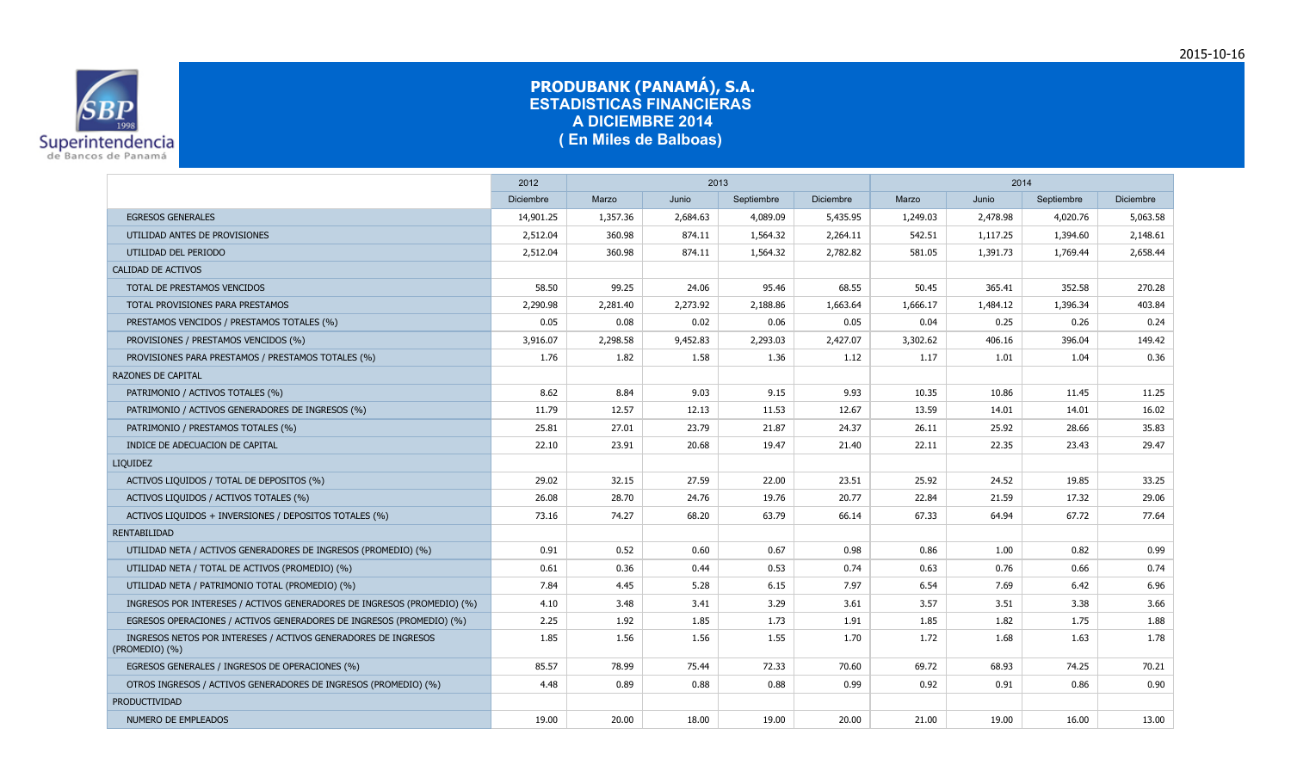

|                                                                                  | 2012             | 2013     |          |            |                  | 2014     |          |            |                  |
|----------------------------------------------------------------------------------|------------------|----------|----------|------------|------------------|----------|----------|------------|------------------|
|                                                                                  | <b>Diciembre</b> | Marzo    | Junio    | Septiembre | <b>Diciembre</b> | Marzo    | Junio    | Septiembre | <b>Diciembre</b> |
| <b>EGRESOS GENERALES</b>                                                         | 14,901.25        | 1,357.36 | 2,684.63 | 4,089.09   | 5,435.95         | 1,249.03 | 2,478.98 | 4,020.76   | 5,063.58         |
| UTILIDAD ANTES DE PROVISIONES                                                    | 2,512.04         | 360.98   | 874.11   | 1,564.32   | 2,264.11         | 542.51   | 1,117.25 | 1,394.60   | 2,148.61         |
| UTILIDAD DEL PERIODO                                                             | 2,512.04         | 360.98   | 874.11   | 1,564.32   | 2,782.82         | 581.05   | 1,391.73 | 1,769.44   | 2,658.44         |
| CALIDAD DE ACTIVOS                                                               |                  |          |          |            |                  |          |          |            |                  |
| TOTAL DE PRESTAMOS VENCIDOS                                                      | 58.50            | 99.25    | 24.06    | 95.46      | 68.55            | 50.45    | 365.41   | 352.58     | 270.28           |
| TOTAL PROVISIONES PARA PRESTAMOS                                                 | 2,290.98         | 2,281.40 | 2,273.92 | 2,188.86   | 1,663.64         | 1,666.17 | 1,484.12 | 1,396.34   | 403.84           |
| PRESTAMOS VENCIDOS / PRESTAMOS TOTALES (%)                                       | 0.05             | 0.08     | 0.02     | 0.06       | 0.05             | 0.04     | 0.25     | 0.26       | 0.24             |
| PROVISIONES / PRESTAMOS VENCIDOS (%)                                             | 3,916.07         | 2,298.58 | 9,452.83 | 2,293.03   | 2,427.07         | 3,302.62 | 406.16   | 396.04     | 149.42           |
| PROVISIONES PARA PRESTAMOS / PRESTAMOS TOTALES (%)                               | 1.76             | 1.82     | 1.58     | 1.36       | 1.12             | 1.17     | 1.01     | 1.04       | 0.36             |
| RAZONES DE CAPITAL                                                               |                  |          |          |            |                  |          |          |            |                  |
| PATRIMONIO / ACTIVOS TOTALES (%)                                                 | 8.62             | 8.84     | 9.03     | 9.15       | 9.93             | 10.35    | 10.86    | 11.45      | 11.25            |
| PATRIMONIO / ACTIVOS GENERADORES DE INGRESOS (%)                                 | 11.79            | 12.57    | 12.13    | 11.53      | 12.67            | 13.59    | 14.01    | 14.01      | 16.02            |
| PATRIMONIO / PRESTAMOS TOTALES (%)                                               | 25.81            | 27.01    | 23.79    | 21.87      | 24.37            | 26.11    | 25.92    | 28.66      | 35.83            |
| INDICE DE ADECUACION DE CAPITAL                                                  | 22.10            | 23.91    | 20.68    | 19.47      | 21.40            | 22.11    | 22.35    | 23.43      | 29.47            |
| <b>LIQUIDEZ</b>                                                                  |                  |          |          |            |                  |          |          |            |                  |
| ACTIVOS LIQUIDOS / TOTAL DE DEPOSITOS (%)                                        | 29.02            | 32.15    | 27.59    | 22.00      | 23.51            | 25.92    | 24.52    | 19.85      | 33.25            |
| ACTIVOS LIQUIDOS / ACTIVOS TOTALES (%)                                           | 26.08            | 28.70    | 24.76    | 19.76      | 20.77            | 22.84    | 21.59    | 17.32      | 29.06            |
| ACTIVOS LIQUIDOS + INVERSIONES / DEPOSITOS TOTALES (%)                           | 73.16            | 74.27    | 68.20    | 63.79      | 66.14            | 67.33    | 64.94    | 67.72      | 77.64            |
| <b>RENTABILIDAD</b>                                                              |                  |          |          |            |                  |          |          |            |                  |
| UTILIDAD NETA / ACTIVOS GENERADORES DE INGRESOS (PROMEDIO) (%)                   | 0.91             | 0.52     | 0.60     | 0.67       | 0.98             | 0.86     | 1.00     | 0.82       | 0.99             |
| UTILIDAD NETA / TOTAL DE ACTIVOS (PROMEDIO) (%)                                  | 0.61             | 0.36     | 0.44     | 0.53       | 0.74             | 0.63     | 0.76     | 0.66       | 0.74             |
| UTILIDAD NETA / PATRIMONIO TOTAL (PROMEDIO) (%)                                  | 7.84             | 4.45     | 5.28     | 6.15       | 7.97             | 6.54     | 7.69     | 6.42       | 6.96             |
| INGRESOS POR INTERESES / ACTIVOS GENERADORES DE INGRESOS (PROMEDIO) (%)          | 4.10             | 3.48     | 3.41     | 3.29       | 3.61             | 3.57     | 3.51     | 3.38       | 3.66             |
| EGRESOS OPERACIONES / ACTIVOS GENERADORES DE INGRESOS (PROMEDIO) (%)             | 2.25             | 1.92     | 1.85     | 1.73       | 1.91             | 1.85     | 1.82     | 1.75       | 1.88             |
| INGRESOS NETOS POR INTERESES / ACTIVOS GENERADORES DE INGRESOS<br>(PROMEDIO) (%) | 1.85             | 1.56     | 1.56     | 1.55       | 1.70             | 1.72     | 1.68     | 1.63       | 1.78             |
| EGRESOS GENERALES / INGRESOS DE OPERACIONES (%)                                  | 85.57            | 78.99    | 75.44    | 72.33      | 70.60            | 69.72    | 68.93    | 74.25      | 70.21            |
| OTROS INGRESOS / ACTIVOS GENERADORES DE INGRESOS (PROMEDIO) (%)                  | 4.48             | 0.89     | 0.88     | 0.88       | 0.99             | 0.92     | 0.91     | 0.86       | 0.90             |
| <b>PRODUCTIVIDAD</b>                                                             |                  |          |          |            |                  |          |          |            |                  |
| NUMERO DE EMPLEADOS                                                              | 19.00            | 20.00    | 18.00    | 19.00      | 20.00            | 21.00    | 19.00    | 16.00      | 13.00            |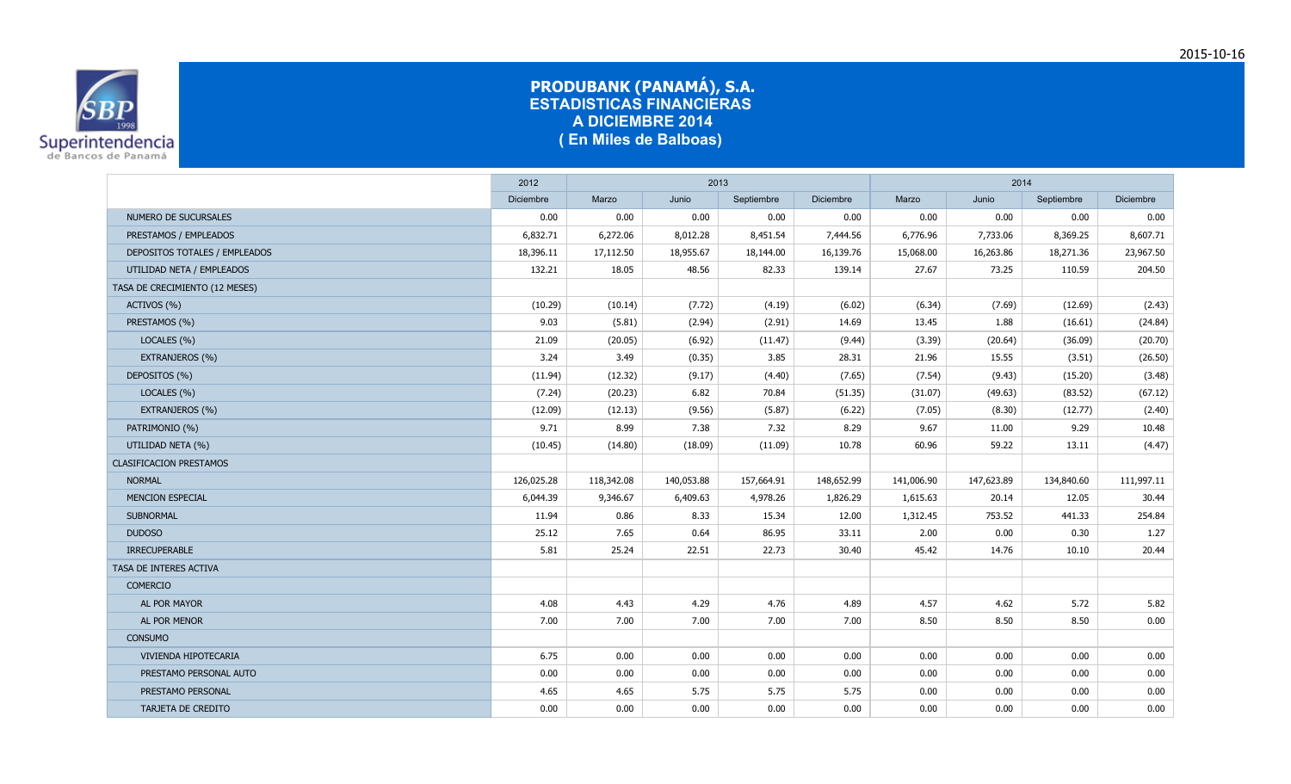

|                                | 2012       | 2013       |            |            |            |            | 2014       |            |            |  |
|--------------------------------|------------|------------|------------|------------|------------|------------|------------|------------|------------|--|
|                                | Diciembre  | Marzo      | Junio      | Septiembre | Diciembre  | Marzo      | Junio      | Septiembre | Diciembre  |  |
| NUMERO DE SUCURSALES           | 0.00       | 0.00       | 0.00       | 0.00       | 0.00       | 0.00       | 0.00       | 0.00       | 0.00       |  |
| PRESTAMOS / EMPLEADOS          | 6,832.71   | 6,272.06   | 8,012.28   | 8,451.54   | 7,444.56   | 6,776.96   | 7,733.06   | 8,369.25   | 8,607.71   |  |
| DEPOSITOS TOTALES / EMPLEADOS  | 18,396.11  | 17,112.50  | 18,955.67  | 18,144.00  | 16,139.76  | 15,068.00  | 16,263.86  | 18,271.36  | 23,967.50  |  |
| UTILIDAD NETA / EMPLEADOS      | 132.21     | 18.05      | 48.56      | 82.33      | 139.14     | 27.67      | 73.25      | 110.59     | 204.50     |  |
| TASA DE CRECIMIENTO (12 MESES) |            |            |            |            |            |            |            |            |            |  |
| ACTIVOS (%)                    | (10.29)    | (10.14)    | (7.72)     | (4.19)     | (6.02)     | (6.34)     | (7.69)     | (12.69)    | (2.43)     |  |
| PRESTAMOS (%)                  | 9.03       | (5.81)     | (2.94)     | (2.91)     | 14.69      | 13.45      | 1.88       | (16.61)    | (24.84)    |  |
| LOCALES (%)                    | 21.09      | (20.05)    | (6.92)     | (11.47)    | (9.44)     | (3.39)     | (20.64)    | (36.09)    | (20.70)    |  |
| EXTRANJEROS (%)                | 3.24       | 3.49       | (0.35)     | 3.85       | 28.31      | 21.96      | 15.55      | (3.51)     | (26.50)    |  |
| DEPOSITOS (%)                  | (11.94)    | (12.32)    | (9.17)     | (4.40)     | (7.65)     | (7.54)     | (9.43)     | (15.20)    | (3.48)     |  |
| LOCALES (%)                    | (7.24)     | (20.23)    | 6.82       | 70.84      | (51.35)    | (31.07)    | (49.63)    | (83.52)    | (67.12)    |  |
| EXTRANJEROS (%)                | (12.09)    | (12.13)    | (9.56)     | (5.87)     | (6.22)     | (7.05)     | (8.30)     | (12.77)    | (2.40)     |  |
| PATRIMONIO (%)                 | 9.71       | 8.99       | 7.38       | 7.32       | 8.29       | 9.67       | 11.00      | 9.29       | 10.48      |  |
| UTILIDAD NETA (%)              | (10.45)    | (14.80)    | (18.09)    | (11.09)    | 10.78      | 60.96      | 59.22      | 13.11      | (4.47)     |  |
| <b>CLASIFICACION PRESTAMOS</b> |            |            |            |            |            |            |            |            |            |  |
| <b>NORMAL</b>                  | 126,025.28 | 118,342.08 | 140,053.88 | 157,664.91 | 148,652.99 | 141,006.90 | 147,623.89 | 134,840.60 | 111,997.11 |  |
| <b>MENCION ESPECIAL</b>        | 6,044.39   | 9,346.67   | 6,409.63   | 4,978.26   | 1,826.29   | 1,615.63   | 20.14      | 12.05      | 30.44      |  |
| SUBNORMAL                      | 11.94      | 0.86       | 8.33       | 15.34      | 12.00      | 1,312.45   | 753.52     | 441.33     | 254.84     |  |
| <b>DUDOSO</b>                  | 25.12      | 7.65       | 0.64       | 86.95      | 33.11      | 2.00       | 0.00       | 0.30       | 1.27       |  |
| <b>IRRECUPERABLE</b>           | 5.81       | 25.24      | 22.51      | 22.73      | 30.40      | 45.42      | 14.76      | 10.10      | 20.44      |  |
| TASA DE INTERES ACTIVA         |            |            |            |            |            |            |            |            |            |  |
| <b>COMERCIO</b>                |            |            |            |            |            |            |            |            |            |  |
| AL POR MAYOR                   | 4.08       | 4.43       | 4.29       | 4.76       | 4.89       | 4.57       | 4.62       | 5.72       | 5.82       |  |
| AL POR MENOR                   | 7.00       | 7.00       | 7.00       | 7.00       | 7.00       | 8.50       | 8.50       | 8.50       | 0.00       |  |
| <b>CONSUMO</b>                 |            |            |            |            |            |            |            |            |            |  |
| <b>VIVIENDA HIPOTECARIA</b>    | 6.75       | 0.00       | 0.00       | 0.00       | 0.00       | 0.00       | 0.00       | 0.00       | 0.00       |  |
| PRESTAMO PERSONAL AUTO         | 0.00       | 0.00       | 0.00       | 0.00       | 0.00       | 0.00       | 0.00       | 0.00       | 0.00       |  |
| PRESTAMO PERSONAL              | 4.65       | 4.65       | 5.75       | 5.75       | 5.75       | 0.00       | 0.00       | 0.00       | 0.00       |  |
| TARJETA DE CREDITO             | 0.00       | 0.00       | 0.00       | 0.00       | 0.00       | 0.00       | 0.00       | 0.00       | 0.00       |  |